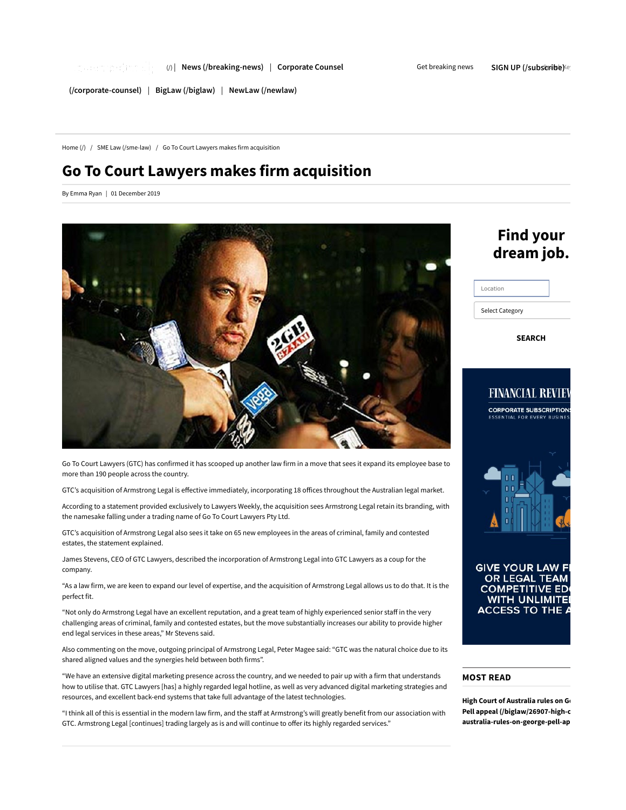Get breaking news SIGN UP (/subscribe) Search Key

(/corporate-counsel) | BigLaw (/biglaw) | NewLaw (/newlaw)

Home (/) / SME Law (/sme-law) / Go To Court Lawyers makes firm acquisition

# Go To Court Lawyers makes firm acquisition

By Emma Ryan | 01 December 2019



Go To Court Lawyers (GTC) has confirmed it has scooped up another law firm in a move that sees it expand its employee base to more than 190 people across the country.

GTC's acquisition of Armstrong Legal is effective immediately, incorporating 18 offices throughout the Australian legal market.

According to a statement provided exclusively to Lawyers Weekly, the acquisition sees Armstrong Legal retain its branding, with the namesake falling under a trading name of Go To Court Lawyers Pty Ltd.

GTC's acquisition of Armstrong Legal also sees it take on 65 new employees in the areas of criminal, family and contested estates, the statement explained.

James Stevens, CEO of GTC Lawyers, described the incorporation of Armstrong Legal into GTC Lawyers as a coup for the company.

"As a law firm, we are keen to expand our level of expertise, and the acquisition of Armstrong Legal allows us to do that. It is the perfect fit.

"Not only do Armstrong Legal have an excellent reputation, and a great team of highly experienced senior staff in the very challenging areas of criminal, family and contested estates, but the move substantially increases our ability to provide higher end legal services in these areas," Mr Stevens said.

Also commenting on the move, outgoing principal of Armstrong Legal, Peter Magee said: "GTC was the natural choice due to its shared aligned values and the synergies held between both firms".

"We have an extensive digital marketing presence across the country, and we needed to pair up with a firm that understands how to utilise that. GTC Lawyers [has] a highly regarded legal hotline, as well as very advanced digital marketing strategies and resources, and excellent back-end systems that take full advantage of the latest technologies.

"I think all of this is essential in the modern law firm, and the staff at Armstrong's will greatly benefit from our association with GTC. Armstrong Legal [continues] trading largely as is and will continue to offer its highly regarded services."

# Find your dream job.

| Location               |  |
|------------------------|--|
| <b>Select Category</b> |  |

SEARCH



## MOST READ

High Court of Australia rules on G Pell appeal (/biglaw/26907-high-c australia-rules-on-george-pell-ap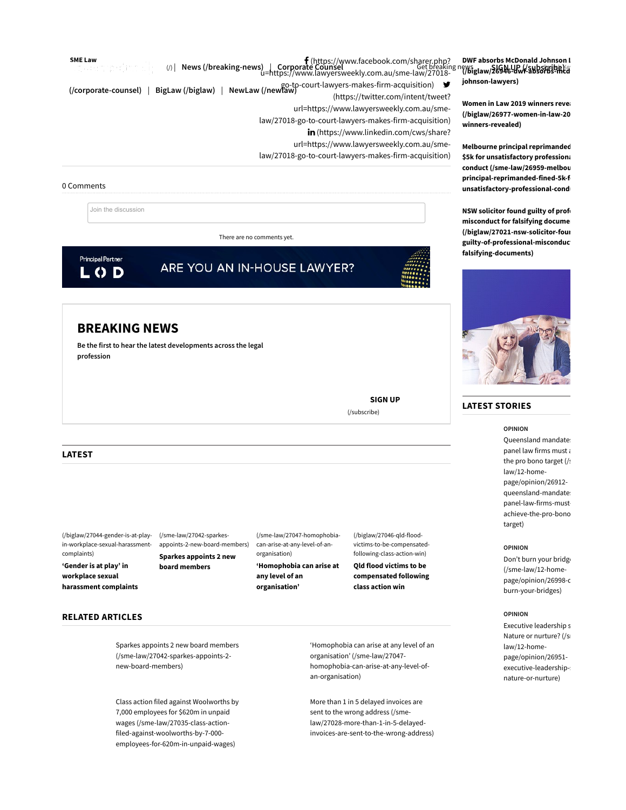SME Law  $\mathbf{f}$  (https://www.facebook.com/sharer.php? u=https://www.lawyersweekly.com.au/sme-law/27018 go-to-court-lawyers-makes-firm-acquisition) ♥ (https://twitter.com/intent/tweet? (/corporate-counsel) | BigLaw (/biglaw) | NewLaw (/newlaw) url=https://www.lawyersweekly.com.au/smelaw/27018-go-to-court-lawyers-makes-firm-acquisition) in (https://www.linkedin.com/cws/share? url=https://www.lawyersweekly.com.au/smelaw/27018-go-to-court-lawyers-makes-firm-acquisition)  $(|y|$  News (/breaking-news)

### 0 Comments

Join the discussion

There are no comments yet.

**Principal Partner** LOD

ARE YOU AN IN-HOUSE LAWYER?

# BREAKING NEWS

Be the first to hear the latest developments across the legal profession

> SIGN UP (/subscribe)

### LATEST

(/biglaw/27044-gender-is-at-playin-workplace-sexual-harassmentcomplaints)

'Gender is at play' in workplace sexual harassment complaints (/sme-law/27042-sparkesappoints-2-new-board-members) Sparkes appoints 2 new

board members

(/sme-law/27047-homophobiacan-arise-at-any-level-of-anorganisation)

'Homophobia can arise at any level of an organisation'

(/biglaw/27046-qld-floodvictims-to-be-compensatedfollowing-class-action-win)

Qld flood victims to be compensated following class action win

RELATED ARTICLES

Sparkes appoints 2 new board members (/sme-law/27042-sparkes-appoints-2 new-board-members)

Class action filed against Woolworths by 7,000 employees for \$620m in unpaid wages (/sme-law/27035-class-actionfiled-against-woolworths-by-7-000 employees-for-620m-in-unpaid-wages)

'Homophobia can arise at any level of an organisation' (/sme-law/27047 homophobia-can-arise-at-any-level-ofan-organisation)

More than 1 in 5 delayed invoices are sent to the wrong address (/smelaw/27028-more-than-1-in-5-delayedinvoices-are-sent-to-the-wrong-address)

DWF absorbs McDonald Johnson L Get breaking news<br><sub>3W</sub>/27018-<br>Search We**glaw/26946-dwf-absorbs-mcd** johnson-lawyers)

> Women in Law 2019 winners revea (/biglaw/26977-women-in-law-20 winners-revealed)

> Melbourne principal reprimanded \$5k for unsatisfactory professiona conduct (/sme-law/26959-melbou principal-reprimanded-fined-5k-f unsatisfactory-professional-cond

> NSW solicitor found guilty of profe misconduct for falsifying docume (/biglaw/27021-nsw-solicitor-four guilty-of-professional-misconduc falsifying-documents)



## LATEST STORIES

OPINION

Queensland mandate: panel law firms must a the pro bono target (/s law/12-homepage/opinion/26912 queensland-mandate: panel-law-firms-mustachieve-the-pro-bono target)

#### OPINION

Don't burn your bridge (/sme-law/12-homepage/opinion/26998-c burn-your-bridges)

### OPINION

Executive leadership s Nature or nurture? (/s law/12-homepage/opinion/26951 executive-leadership-s nature-or-nurture)